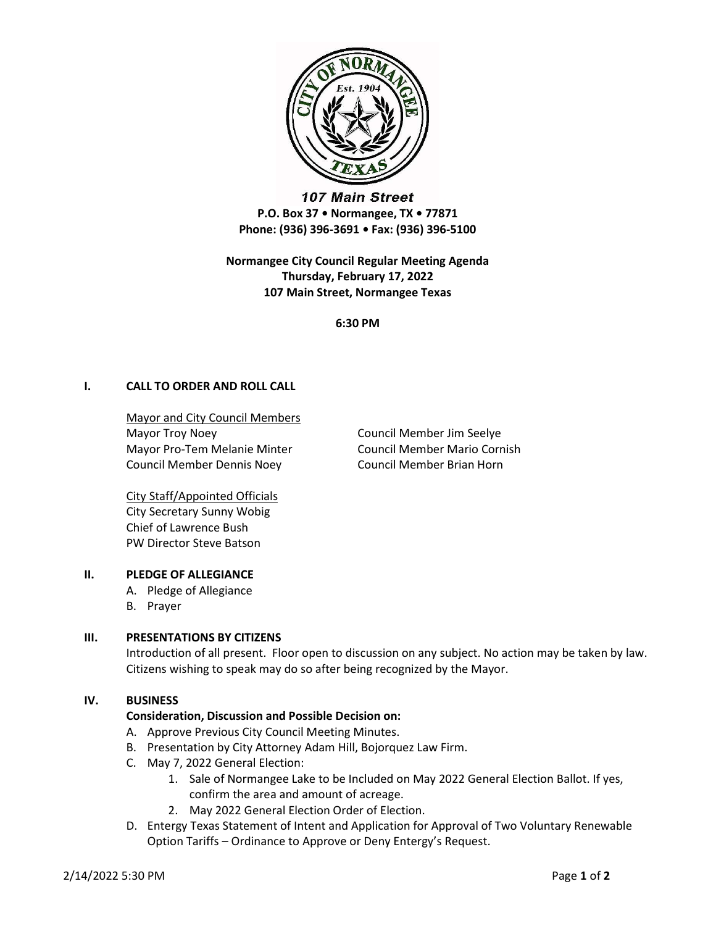

107 Main Street P.O. Box 37 • Normangee, TX • 77871 Phone: (936) 396-3691 • Fax: (936) 396-5100

Normangee City Council Regular Meeting Agenda Thursday, February 17, 2022 107 Main Street, Normangee Texas

6:30 PM

# I. CALL TO ORDER AND ROLL CALL

Mayor and City Council Members Mayor Troy Noey **Council Member Jim Seelye** Mayor Pro-Tem Melanie Minter Council Member Mario Cornish Council Member Dennis Noey Council Member Brian Horn

City Staff/Appointed Officials City Secretary Sunny Wobig Chief of Lawrence Bush PW Director Steve Batson

## II. PLEDGE OF ALLEGIANCE

- A. Pledge of Allegiance
- B. Prayer

## III. PRESENTATIONS BY CITIZENS

Introduction of all present. Floor open to discussion on any subject. No action may be taken by law. Citizens wishing to speak may do so after being recognized by the Mayor.

#### IV. BUSINESS

## Consideration, Discussion and Possible Decision on:

- A. Approve Previous City Council Meeting Minutes.
- B. Presentation by City Attorney Adam Hill, Bojorquez Law Firm.
- C. May 7, 2022 General Election:
	- 1. Sale of Normangee Lake to be Included on May 2022 General Election Ballot. If yes, confirm the area and amount of acreage.
	- 2. May 2022 General Election Order of Election.
- D. Entergy Texas Statement of Intent and Application for Approval of Two Voluntary Renewable Option Tariffs – Ordinance to Approve or Deny Entergy's Request.